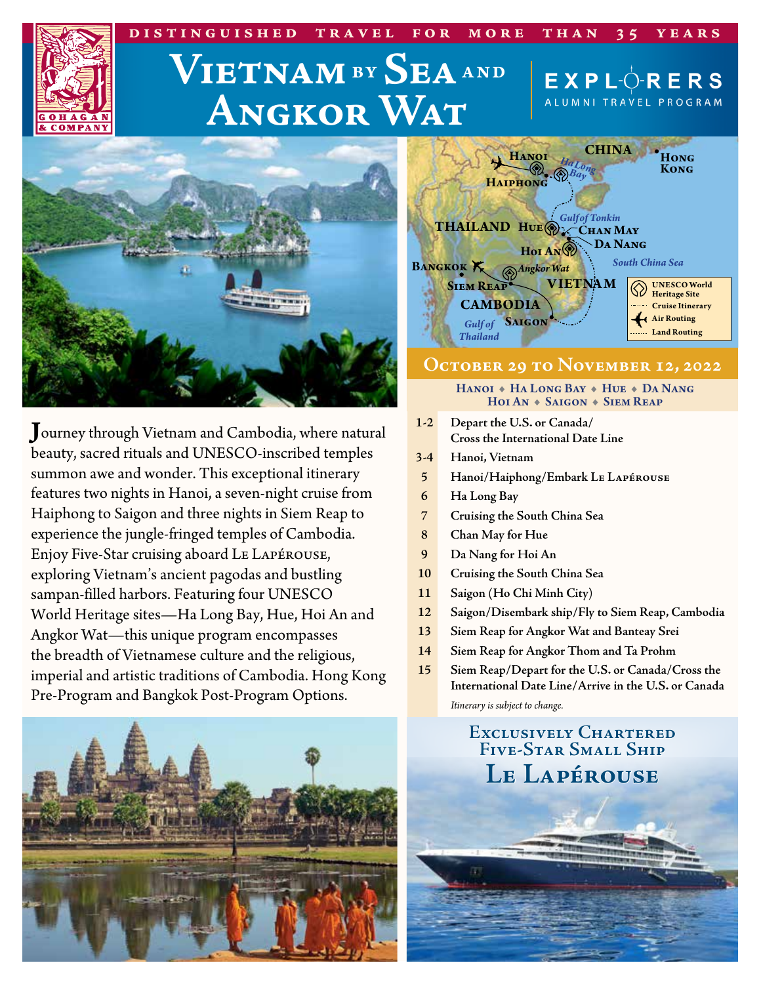# $V$ **IETNAM**<sup>BY</sup> SEA AND **Angkor Wat**

**distinguished travel for more than 35 years**



**J**ourney through Vietnam and Cambodia, where natural beauty, sacred rituals and UNESCO‑inscribed temples summon awe and wonder. This exceptional itinerary features two nights in Hanoi, a seven-night cruise from Haiphong to Saigon and three nights in Siem Reap to experience the jungle-fringed temples of Cambodia. Enjoy Five-Star cruising aboard Le Lapérouse, exploring Vietnam's ancient pagodas and bustling sampan-filled harbors. Featuring four UNESCO World Heritage sites—Ha Long Bay, Hue, Hoi An and Angkor Wat—this unique program encompasses the breadth of Vietnamese culture and the religious, imperial and artistic traditions of Cambodia. Hong Kong Pre‑Program and Bangkok Post-Program Options.



| <b>CHINA</b><br><b>HANOI</b><br>HaLong<br><b>HAIPHONG</b>                                                                 | HONG<br><b>KONG</b>                                                                                          |
|---------------------------------------------------------------------------------------------------------------------------|--------------------------------------------------------------------------------------------------------------|
| <b>Gulfof Tonkin</b><br><b>THAILAND HUE CHAN MAY</b><br><b>DA NANG</b><br>Hol AN<br><b>BANGKOK K</b><br><b>Angkor Wat</b> | <b>South China Sea</b>                                                                                       |
| <b>VIETNAM</b><br><b>SIEM REAP</b><br><b>CAMBODIA</b><br><b>SAIGON</b><br><b>Gulf of</b><br><b>Thailand</b>               | <b>UNESCO World</b><br><b>Heritage Site</b><br><b>Cruise Itinerary</b><br><b>Air Routing</b><br>Land Routing |

 $EX$  P L $\overrightarrow{O}$  R E R S ALUMNI TRAVEL PROGRAM

# **October 29 to November 12, 2022**

HANOI + HA LONG BAY + HUE + DA NANG HOI AN + SAIGON + SIEM REAP

- **1-2 Depart the U.S. or Canada/ Cross the International Date Line**
- **3-4 Hanoi, Vietnam**
- **5 Hanoi/Haiphong/Embark Le Lapérouse**
- **6 Ha Long Bay**
- **7 Cruising the South China Sea**
- **8 Chan May for Hue**
- **9 Da Nang for Hoi An**
- **10 Cruising the South China Sea**
- **11 Saigon (Ho Chi Minh City)**
- **12 Saigon/Disembark ship/Fly to Siem Reap, Cambodia**
- **13 Siem Reap for Angkor Wat and Banteay Srei**
- **14 Siem Reap for Angkor Thom and Ta Prohm**
- **15 Siem Reap/Depart for the U.S. or Canada/Cross the International Date Line/Arrive in the U.S. or Canada**

*Itinerary is subject to change.*

**Exclusively Chartered Five-Star Small Ship Le Lapérouse**